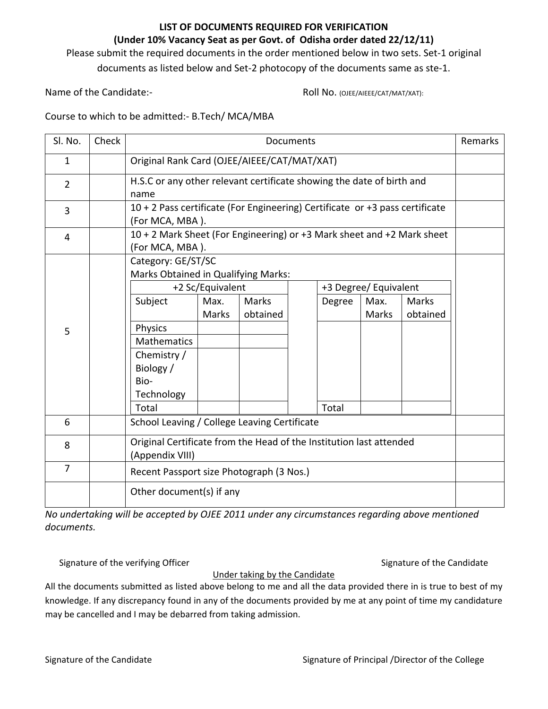## **LIST OF DOCUMENTS REQUIRED FOR VERIFICATION**

## **(Under 10% Vacancy Seat as per Govt. of Odisha order dated 22/12/11)**

Please submit the required documents in the order mentioned below in two sets. Set‐1 original

documents as listed below and Set‐2 photocopy of the documents same as ste‐1.

Name of the Candidate:‐ Roll No. (OJEE/AIEEE/CAT/MAT/XAT):

Course to which to be admitted:‐ B.Tech/ MCA/MBA

| Sl. No.        | Check | Documents                                                                                                                                               |                                          |                          |  |        |                                        |                          | Remarks |
|----------------|-------|---------------------------------------------------------------------------------------------------------------------------------------------------------|------------------------------------------|--------------------------|--|--------|----------------------------------------|--------------------------|---------|
| $\mathbf{1}$   |       | Original Rank Card (OJEE/AIEEE/CAT/MAT/XAT)                                                                                                             |                                          |                          |  |        |                                        |                          |         |
| $\overline{2}$ |       | H.S.C or any other relevant certificate showing the date of birth and<br>name                                                                           |                                          |                          |  |        |                                        |                          |         |
| 3              |       | 10 + 2 Pass certificate (For Engineering) Certificate or +3 pass certificate<br>(For MCA, MBA).                                                         |                                          |                          |  |        |                                        |                          |         |
| 4              |       | 10 + 2 Mark Sheet (For Engineering) or +3 Mark sheet and +2 Mark sheet<br>(For MCA, MBA).                                                               |                                          |                          |  |        |                                        |                          |         |
| 5              |       | Category: GE/ST/SC<br>Marks Obtained in Qualifying Marks:<br>Subject<br>Physics<br><b>Mathematics</b><br>Chemistry /<br>Biology /<br>Bio-<br>Technology | +2 Sc/Equivalent<br>Max.<br><b>Marks</b> | <b>Marks</b><br>obtained |  | Degree | +3 Degree/ Equivalent<br>Max.<br>Marks | <b>Marks</b><br>obtained |         |
| 6              |       | Total<br>Total                                                                                                                                          |                                          |                          |  |        |                                        |                          |         |
|                |       | School Leaving / College Leaving Certificate                                                                                                            |                                          |                          |  |        |                                        |                          |         |
| 8              |       | Original Certificate from the Head of the Institution last attended<br>(Appendix VIII)                                                                  |                                          |                          |  |        |                                        |                          |         |
| $\overline{7}$ |       | Recent Passport size Photograph (3 Nos.)                                                                                                                |                                          |                          |  |        |                                        |                          |         |
|                |       | Other document(s) if any                                                                                                                                |                                          |                          |  |        |                                        |                          |         |

*No undertaking will be accepted by OJEE 2011 under any circumstances regarding above mentioned documents.* 

Signature of the verifying Officer **Signature of the Candidate** Signature of the Candidate

All the documents submitted as listed above belong to me and all the data provided there in is true to best of my knowledge. If any discrepancy found in any of the documents provided by me at any point of time my candidature may be cancelled and I may be debarred from taking admission.

Under taking by the Candidate